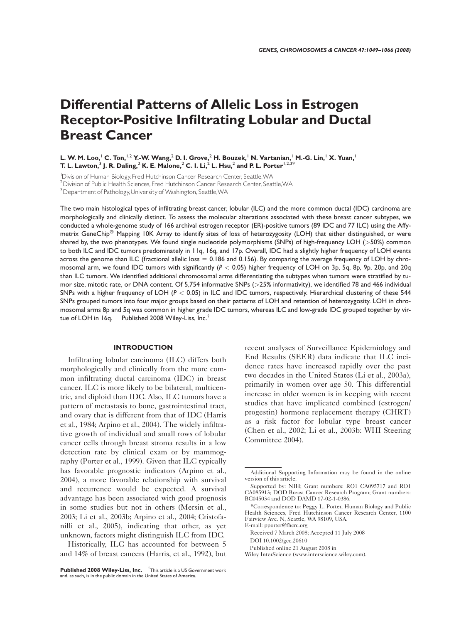# Differential Patterns of Allelic Loss in Estrogen Receptor-Positive Infiltrating Lobular and Ductal Breast Cancer

L. W. M. Loo,<sup>1</sup> C. Ton,<sup>1,2</sup> Y.-W. Wang,<sup>2</sup> D. I. Grove,<sup>2</sup> H. Bouzek,<sup>1</sup> N. Vartanian,<sup>1</sup> M.-G. Lin,<sup>1</sup> X. Yuan,<sup>1</sup> T. L. Lawton, $^3$  J. R. Daling, $^2$  K. E. Malone, $^2$  C. I. Li, $^2$  L. Hsu, $^2$  and P. L. Porter $^{1,2,3*}$ 

1 Division of Human Biology,Fred Hutchinson Cancer Research Center, Seattle,WA

<sup>2</sup> Division of Public Health Sciences, Fred Hutchinson Cancer Research Center, Seattle, WA

<sup>3</sup> Department of Pathology, University of Washington, Seattle, WA

The two main histological types of infiltrating breast cancer, lobular (ILC) and the more common ductal (IDC) carcinoma are morphologically and clinically distinct. To assess the molecular alterations associated with these breast cancer subtypes, we conducted a whole-genome study of 166 archival estrogen receptor (ER)-positive tumors (89 IDC and 77 ILC) using the Affymetrix GeneChip® Mapping 10K Array to identify sites of loss of heterozygosity (LOH) that either distinguished, or were shared by, the two phenotypes. We found single nucleotide polymorphisms (SNPs) of high-frequency LOH (>50%) common to both ILC and IDC tumors predominately in 11q, 16q, and 17p. Overall, IDC had a slightly higher frequency of LOH events across the genome than ILC (fractional allelic loss  $= 0.186$  and 0.156). By comparing the average frequency of LOH by chromosomal arm, we found IDC tumors with significantly ( $P < 0.05$ ) higher frequency of LOH on 3p, 5q, 8p, 9p, 20p, and 20q than ILC tumors. We identified additional chromosomal arms differentiating the subtypes when tumors were stratified by tumor size, mitotic rate, or DNA content. Of 5,754 informative SNPs (>25% informativity), we identified 78 and 466 individual SNPs with a higher frequency of LOH ( $P < 0.05$ ) in ILC and IDC tumors, respectively. Hierarchical clustering of these 544 SNPs grouped tumors into four major groups based on their patterns of LOH and retention of heterozygosity. LOH in chromosomal arms 8p and 5q was common in higher grade IDC tumors, whereas ILC and low-grade IDC grouped together by virtue of LOH in 16q. Published 2008 Wiley-Liss, Inc.†

#### INTRODUCTION

Infiltrating lobular carcinoma (ILC) differs both morphologically and clinically from the more common infiltrating ductal carcinoma (IDC) in breast cancer. ILC is more likely to be bilateral, multicentric, and diploid than IDC. Also, ILC tumors have a pattern of metastasis to bone, gastrointestinal tract, and ovary that is different from that of IDC (Harris et al., 1984; Arpino et al., 2004). The widely infiltrative growth of individual and small rows of lobular cancer cells through breast stroma results in a low detection rate by clinical exam or by mammography (Porter et al., 1999). Given that ILC typically has favorable prognostic indicators (Arpino et al., 2004), a more favorable relationship with survival and recurrence would be expected. A survival advantage has been associated with good prognosis in some studies but not in others (Mersin et al., 2003; Li et al., 2003b; Arpino et al., 2004; Cristofanilli et al., 2005), indicating that other, as yet unknown, factors might distinguish ILC from IDC.

Historically, ILC has accounted for between 5 and 14% of breast cancers (Harris, et al., 1992), but recent analyses of Surveillance Epidemiology and End Results (SEER) data indicate that ILC incidence rates have increased rapidly over the past two decades in the United States (Li et al., 2003a), primarily in women over age 50. This differential increase in older women is in keeping with recent studies that have implicated combined (estrogen/ progestin) hormone replacement therapy (CHRT) as a risk factor for lobular type breast cancer (Chen et al., 2002; Li et al., 2003b: WHI Steering Committee 2004).

E-mail: pporter@fhcrc.org

Received 7 March 2008; Accepted 11 July 2008 DOI 10.1002/gcc.20610

Published online 21 August 2008 in

Wiley InterScience (www.interscience.wiley.com).

Published 2008 Wiley-Liss, Inc. <sup>†</sup> This article is a US Government work and, as such, is in the public domain in the United States of America.

Additional Supporting Information may be found in the online version of this article.

Supported by: NIH; Grant numbers: RO1 CA095717 and RO1 CA085913; DOD Breast Cancer Research Program; Grant numbers: BC045034 and DOD DAMD 17-02-1-0386.

<sup>\*</sup>Correspondence to: Peggy L. Porter, Human Biology and Public Health Sciences, Fred Hutchinson Cancer Research Center, 1100 Fairview Ave. N, Seattle, WA 98109, USA.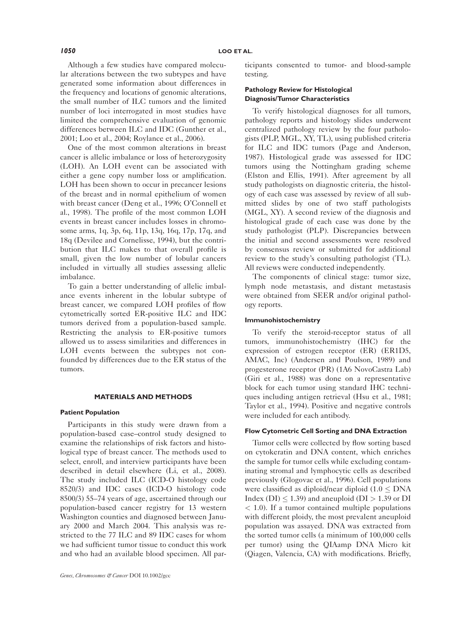Although a few studies have compared molecular alterations between the two subtypes and have generated some information about differences in the frequency and locations of genomic alterations, the small number of ILC tumors and the limited number of loci interrogated in most studies have limited the comprehensive evaluation of genomic differences between ILC and IDC (Gunther et al., 2001; Loo et al., 2004; Roylance et al., 2006).

One of the most common alterations in breast cancer is allelic imbalance or loss of heterozygosity (LOH). An LOH event can be associated with either a gene copy number loss or amplification. LOH has been shown to occur in precancer lesions of the breast and in normal epithelium of women with breast cancer (Deng et al., 1996; O'Connell et al., 1998). The profile of the most common LOH events in breast cancer includes losses in chromosome arms, 1q, 3p, 6q, 11p, 13q, 16q, 17p, 17q, and 18q (Devilee and Cornelisse, 1994), but the contribution that ILC makes to that overall profile is small, given the low number of lobular cancers included in virtually all studies assessing allelic imbalance.

To gain a better understanding of allelic imbalance events inherent in the lobular subtype of breast cancer, we compared LOH profiles of flow cytometrically sorted ER-positive ILC and IDC tumors derived from a population-based sample. Restricting the analysis to ER-positive tumors allowed us to assess similarities and differences in LOH events between the subtypes not confounded by differences due to the ER status of the tumors.

#### MATERIALS AND METHODS

#### Patient Population

Participants in this study were drawn from a population-based case–control study designed to examine the relationships of risk factors and histological type of breast cancer. The methods used to select, enroll, and interview participants have been described in detail elsewhere (Li, et al., 2008). The study included ILC (ICD-O histology code 8520/3) and IDC cases (ICD-O histology code 8500/3) 55–74 years of age, ascertained through our population-based cancer registry for 13 western Washington counties and diagnosed between January 2000 and March 2004. This analysis was restricted to the 77 ILC and 89 IDC cases for whom we had sufficient tumor tissue to conduct this work and who had an available blood specimen. All participants consented to tumor- and blood-sample testing.

## Pathology Review for Histological Diagnosis/Tumor Characteristics

To verify histological diagnoses for all tumors, pathology reports and histology slides underwent centralized pathology review by the four pathologists (PLP, MGL, XY, TL), using published criteria for ILC and IDC tumors (Page and Anderson, 1987). Histological grade was assessed for IDC tumors using the Nottingham grading scheme (Elston and Ellis, 1991). After agreement by all study pathologists on diagnostic criteria, the histology of each case was assessed by review of all submitted slides by one of two staff pathologists (MGL, XY). A second review of the diagnosis and histological grade of each case was done by the study pathologist (PLP). Discrepancies between the initial and second assessments were resolved by consensus review or submitted for additional review to the study's consulting pathologist (TL). All reviews were conducted independently.

The components of clinical stage: tumor size, lymph node metastasis, and distant metastasis were obtained from SEER and/or original pathology reports.

#### Immunohistochemistry

To verify the steroid-receptor status of all tumors, immunohistochemistry (IHC) for the expression of estrogen receptor (ER) (ER1D5, AMAC, Inc) (Andersen and Poulson, 1989) and progesterone receptor (PR) (1A6 NovoCastra Lab) (Giri et al., 1988) was done on a representative block for each tumor using standard IHC techniques including antigen retrieval (Hsu et al., 1981; Taylor et al., 1994). Positive and negative controls were included for each antibody.

#### Flow Cytometric Cell Sorting and DNA Extraction

Tumor cells were collected by flow sorting based on cytokeratin and DNA content, which enriches the sample for tumor cells while excluding contaminating stromal and lymphocytic cells as described previously (Glogovac et al., 1996). Cell populations were classified as diploid/near diploid (1.0  $\leq$  DNA Index (DI)  $\leq$  1.39) and aneuploid (DI  $>$  1.39 or DI  $<$  1.0). If a tumor contained multiple populations with different ploidy, the most prevalent aneuploid population was assayed. DNA was extracted from the sorted tumor cells (a minimum of 100,000 cells per tumor) using the QIAamp DNA Micro kit (Qiagen, Valencia, CA) with modifications. Briefly,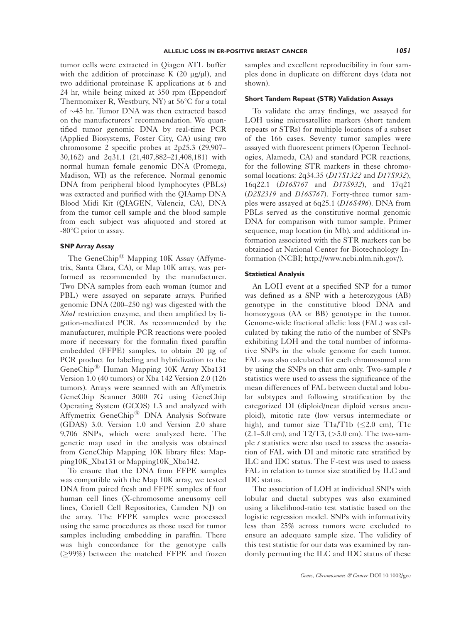tumor cells were extracted in Qiagen ATL buffer with the addition of proteinase K  $(20 \mu g/\mu l)$ , and two additional proteinase K applications at 6 and 24 hr, while being mixed at 350 rpm (Eppendorf Thermomixer R, Westbury, NY) at  $56^{\circ}$ C for a total of  $\sim$ 45 hr. Tumor DNA was then extracted based on the manufacturers' recommendation. We quantified tumor genomic DNA by real-time PCR (Applied Biosystems, Foster City, CA) using two chromosome 2 specific probes at 2p25.3 (29,907– 30,162) and 2q31.1 (21,407,882–21,408,181) with normal human female genomic DNA (Promega, Madison, WI) as the reference. Normal genomic DNA from peripheral blood lymphocytes (PBLs) was extracted and purified with the QIAamp DNA Blood Midi Kit (QIAGEN, Valencia, CA), DNA from the tumor cell sample and the blood sample from each subject was aliquoted and stored at  $-80^{\circ}$ C prior to assay.

#### SNP Array Assay

The GeneChip<sup>®</sup> Mapping 10K Assay (Affymetrix, Santa Clara, CA), or Map 10K array, was performed as recommended by the manufacturer. Two DNA samples from each woman (tumor and PBL) were assayed on separate arrays. Purified genomic DNA (200–250 ng) was digested with the XbaI restriction enzyme, and then amplified by ligation-mediated PCR. As recommended by the manufacturer, multiple PCR reactions were pooled more if necessary for the formalin fixed paraffin embedded (FFPE) samples, to obtain 20 µg of PCR product for labeling and hybridization to the GeneChip<sup>®</sup> Human Mapping 10K Array Xba131 Version 1.0 (40 tumors) or Xba 142 Version 2.0 (126 tumors). Arrays were scanned with an Affymetrix GeneChip Scanner 3000 7G using GeneChip Operating System (GCOS) 1.3 and analyzed with Affymetrix GeneChip<sup>®</sup> DNA Analysis Software (GDAS) 3.0. Version 1.0 and Version 2.0 share 9,706 SNPs, which were analyzed here. The genetic map used in the analysis was obtained from GeneChip Mapping 10K library files: Mapping10K\_Xba131 or Mapping10K\_Xba142.

To ensure that the DNA from FFPE samples was compatible with the Map 10K array, we tested DNA from paired fresh and FFPE samples of four human cell lines (X-chromosome aneusomy cell lines, Coriell Cell Repositories, Camden NJ) on the array. The FFPE samples were processed using the same procedures as those used for tumor samples including embedding in paraffin. There was high concordance for the genotype calls  $(\geq 99\%)$  between the matched FFPE and frozen samples and excellent reproducibility in four samples done in duplicate on different days (data not shown).

#### Short Tandem Repeat (STR) Validation Assays

To validate the array findings, we assayed for LOH using microsatellite markers (short tandem repeats or STRs) for multiple locations of a subset of the 166 cases. Seventy tumor samples were assayed with fluorescent primers (Operon Technologies, Alameda, CA) and standard PCR reactions, for the following STR markers in these chromosomal locations: 2q34.35 (D17S1322 and D17S932), 16q22.1 (D16S767 and D17S932), and 17q21 (D2S2319 and D16S767). Forty-three tumor samples were assayed at 6q25.1 (D16S496). DNA from PBLs served as the constitutive normal genomic DNA for comparison with tumor sample. Primer sequence, map location (in Mb), and additional information associated with the STR markers can be obtained at National Center for Biotechnology Information (NCBI; http://www.ncbi.nlm.nih.gov/).

# Statistical Analysis

An LOH event at a specified SNP for a tumor was defined as a SNP with a heterozygous (AB) genotype in the constitutive blood DNA and homozygous (AA or BB) genotype in the tumor. Genome-wide fractional allelic loss (FAL) was calculated by taking the ratio of the number of SNPs exhibiting LOH and the total number of informative SNPs in the whole genome for each tumor. FAL was also calculated for each chromosomal arm by using the SNPs on that arm only. Two-sample  $t$ statistics were used to assess the significance of the mean differences of FAL between ductal and lobular subtypes and following stratification by the categorized DI (diploid/near diploid versus aneuploid), mitotic rate (low versus intermediate or high), and tumor size T1a/T1b ( $\leq$ 2.0 cm), T1c  $(2.1–5.0 \text{ cm})$ , and  $T2/T3$ , ( $>5.0 \text{ cm}$ ). The two-sample  $t$  statistics were also used to assess the association of FAL with DI and mitotic rate stratified by ILC and IDC status. The F-test was used to assess FAL in relation to tumor size stratified by ILC and IDC status.

The association of LOH at individual SNPs with lobular and ductal subtypes was also examined using a likelihood-ratio test statistic based on the logistic regression model. SNPs with informativity less than 25% across tumors were excluded to ensure an adequate sample size. The validity of this test statistic for our data was examined by randomly permuting the ILC and IDC status of these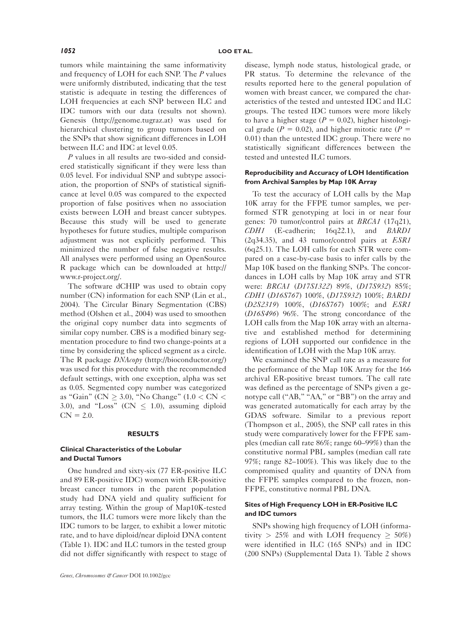tumors while maintaining the same informativity and frequency of LOH for each SNP. The P values were uniformly distributed, indicating that the test statistic is adequate in testing the differences of LOH frequencies at each SNP between ILC and IDC tumors with our data (results not shown). Genesis (http://genome.tugraz.at) was used for hierarchical clustering to group tumors based on the SNPs that show significant differences in LOH between ILC and IDC at level 0.05.

P values in all results are two-sided and considered statistically significant if they were less than 0.05 level. For individual SNP and subtype association, the proportion of SNPs of statistical significance at level 0.05 was compared to the expected proportion of false positives when no association exists between LOH and breast cancer subtypes. Because this study will be used to generate hypotheses for future studies, multiple comparison adjustment was not explicitly performed. This minimized the number of false negative results. All analyses were performed using an OpenSource R package which can be downloaded at http:// www.r-project.org/.

The software dCHIP was used to obtain copy number (CN) information for each SNP (Lin et al., 2004). The Circular Binary Segmentation (CBS) method (Olshen et al., 2004) was used to smoothen the original copy number data into segments of similar copy number. CBS is a modified binary segmentation procedure to find two change-points at a time by considering the spliced segment as a circle. The R package  $DM \rightarrow \mu$  (http://bioconductor.org/) was used for this procedure with the recommended default settings, with one exception, alpha was set as 0.05. Segmented copy number was categorized as "Gain" (CN  $> 3.0$ ), "No Change" (1.0  $<$  CN  $<$ 3.0), and "Loss" (CN  $\leq$  1.0), assuming diploid  $CN = 2.0.$ 

#### RESULTS

# Clinical Characteristics of the Lobular and Ductal Tumors

One hundred and sixty-six (77 ER-positive ILC and 89 ER-positive IDC) women with ER-positive breast cancer tumors in the parent population study had DNA yield and quality sufficient for array testing. Within the group of Map10K-tested tumors, the ILC tumors were more likely than the IDC tumors to be larger, to exhibit a lower mitotic rate, and to have diploid/near diploid DNA content (Table 1). IDC and ILC tumors in the tested group did not differ significantly with respect to stage of disease, lymph node status, histological grade, or PR status. To determine the relevance of the results reported here to the general population of women with breast cancer, we compared the characteristics of the tested and untested IDC and ILC groups. The tested IDC tumors were more likely to have a higher stage ( $P = 0.02$ ), higher histological grade ( $P = 0.02$ ), and higher mitotic rate ( $P =$ 0.01) than the untested IDC group. There were no statistically significant differences between the tested and untested ILC tumors.

# Reproducibility and Accuracy of LOH Identification from Archival Samples by Map 10K Array

To test the accuracy of LOH calls by the Map 10K array for the FFPE tumor samples, we performed STR genotyping at loci in or near four genes: 70 tumor/control pairs at BRCA1 (17q21), CDH1 (E-cadherin; 16q22.1), and BARD1 (2q34.35), and 43 tumor/control pairs at ESR1 (6q25.1). The LOH calls for each STR were compared on a case-by-case basis to infer calls by the Map 10K based on the flanking SNPs. The concordances in LOH calls by Map 10K array and STR were: *BRCA1* (*D17S1322*) 89%, (*D17S932*) 85%; CDH1 (D16S767) 100%, (D17S932) 100%; BARD1 (D2S2319) 100%, (D16S767) 100%; and ESR1 (D16S496) 96%. The strong concordance of the LOH calls from the Map 10K array with an alternative and established method for determining regions of LOH supported our confidence in the identification of LOH with the Map 10K array.

We examined the SNP call rate as a measure for the performance of the Map 10K Array for the 166 archival ER-positive breast tumors. The call rate was defined as the percentage of SNPs given a genotype call ("AB," "AA," or "BB") on the array and was generated automatically for each array by the GDAS software. Similar to a previous report (Thompson et al., 2005), the SNP call rates in this study were comparatively lower for the FFPE samples (median call rate 86%; range 60–99%) than the constitutive normal PBL samples (median call rate 97%; range 82–100%). This was likely due to the compromised quality and quantity of DNA from the FFPE samples compared to the frozen, non-FFPE, constitutive normal PBL DNA.

#### Sites of High Frequency LOH in ER-Positive ILC and IDC tumors

SNPs showing high frequency of LOH (informativity > 25% and with LOH frequency  $\geq 50\%$ ) were identified in ILC (165 SNPs) and in IDC (200 SNPs) (Supplemental Data 1). Table 2 shows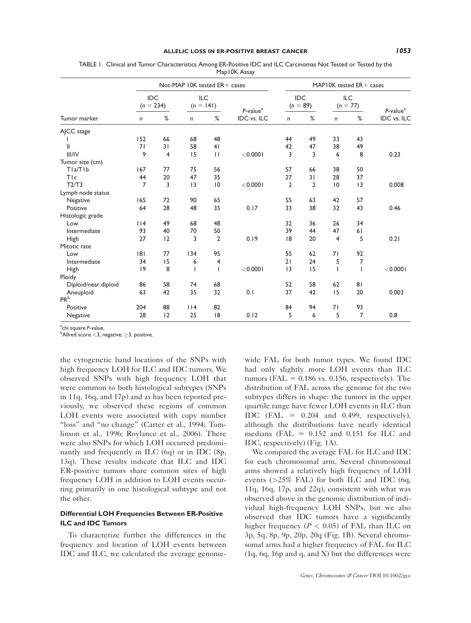|                      |                    |                | Not-MAP IOK tested ER+ cases |              |                         |                |                   | MAPIOK tested ER+ cases |                          |                |
|----------------------|--------------------|----------------|------------------------------|--------------|-------------------------|----------------|-------------------|-------------------------|--------------------------|----------------|
|                      | IDC<br>$(n = 234)$ |                | ILC<br>$(n = 141)$           |              | $P$ -value <sup>a</sup> |                | IDC<br>$(n = 89)$ |                         | <b>ILC</b><br>$(n = 77)$ | $P$ -value $a$ |
| Tumor marker         | n                  | %              | $\mathsf{n}$                 | %            | <b>IDC</b> vs. ILC      | $\mathsf{n}$   | %                 | n                       | %                        | IDC vs. ILC    |
| AJCC stage           |                    |                |                              |              |                         |                |                   |                         |                          |                |
|                      | 152                | 66             | 68                           | 48           |                         | 44             | 49                | 33                      | 43                       |                |
| $\mathsf{II}$        | 71                 | 31             | 58                           | 41           |                         | 42             | 47                | 38                      | 49                       |                |
| III/IV               | 9                  | $\overline{4}$ | 15                           | $\mathbf{H}$ | $<$ 0.000 l             | 3              | 3                 | 6                       | 8                        | 0.23           |
| Tumor size (cm)      |                    |                |                              |              |                         |                |                   |                         |                          |                |
| TIa/TIb              | 167                | 77             | 75                           | 56           |                         | 57             | 66                | 38                      | 50                       |                |
| TIc                  | 44                 | 20             | 47                           | 35           |                         | 27             | 31                | 28                      | 37                       |                |
| T2/T3                | $\overline{7}$     | 3              | 3                            | 0            | $<$ 0.000 l             | $\overline{2}$ | $\overline{2}$    | 10                      | 3                        | 0.008          |
| Lymph node status    |                    |                |                              |              |                         |                |                   |                         |                          |                |
| Negative             | 165                | 72             | 90                           | 65           |                         | 55             | 63                | 42                      | 57                       |                |
| Positive             | 64                 | 28             | 48                           | 35           | 0.17                    | 33             | 38                | 32                      | 43                       | 0.46           |
| Histologic grade     |                    |                |                              |              |                         |                |                   |                         |                          |                |
| Low                  | $ $  4             | 49             | 68                           | 48           |                         | 32             | 36                | 26                      | 34                       |                |
| Intermediate         | 93                 | 40             | 70                           | 50           |                         | 39             | 44                | 47                      | 61                       |                |
| High                 | 27                 | 12             | 3                            | 2            | 0.19                    | 8              | 20                | $\overline{4}$          | 5                        | 0.21           |
| Mitotic rate         |                    |                |                              |              |                         |                |                   |                         |                          |                |
| Low                  | 8                  | 77             | 134                          | 95           |                         | 55             | 62                | 71                      | 92                       |                |
| Intermediate         | 34                 | 15             | 6                            | 4            |                         | 21             | 24                | 5                       | 7                        |                |
| High                 | 9                  | 8              |                              |              | $<$ 0.000 l             | 3              | 15                | $\mathbf{I}$            | ı                        | $<$ 0.000 l    |
| Ploidy               |                    |                |                              |              |                         |                |                   |                         |                          |                |
| Diploid/near diploid | 86                 | 58             | 74                           | 68           |                         | 52             | 58                | 62                      | 81                       |                |
| Aneuploid            | 63                 | 42             | 35                           | 32           | 0.1                     | 37             | 42                | 15                      | 20                       | 0.003          |
| PR <sub>b</sub>      |                    |                |                              |              |                         |                |                   |                         |                          |                |
| Positive             | 204                | 88             | 114                          | 82           |                         | 84             | 94                | 71                      | 93                       |                |
| Negative             | 28                 | 12             | 25                           | 8            | 0.12                    | 5              | 6                 | 5                       | 7                        | 0.8            |

TABLE 1. Clinical and Tumor Characteristics Among ER-Positive IDC and ILC Carcinomas Not Tested or Tested by the Map10K Assay

<sup>a</sup>chi square P-value.<br><sup>b</sup>Allred score < 3. n

 $b$ Allred score < 3, negative;  $\geq$  3, positive.

the cytogenetic band locations of the SNPs with high frequency LOH for ILC and IDC tumors. We observed SNPs with high frequency LOH that were common to both histological subtypes (SNPs in 11q, 16q, and 17p) and as has been reported previously, we observed these regions of common LOH events were associated with copy number "loss" and "no change" (Carter et al., 1994; Tomlinson et al., 1996; Roylance et al., 2006). There were also SNPs for which LOH occurred predominantly and frequently in ILC (6q) or in IDC (8p, 13q). These results indicate that ILC and IDC ER-positive tumors share common sites of high frequency LOH in addition to LOH events occurring primarily in one histological subtype and not the other.

## Differential LOH Frequencies Between ER-Positive ILC and IDC Tumors

To characterize further the differences in the frequency and location of LOH events between IDC and ILC, we calculated the average genomewide FAL for both tumor types. We found IDC had only slightly more LOH events than ILC tumors (FAL  $= 0.186$  vs. 0.156, respectively). The distribution of FAL across the genome for the two subtypes differs in shape: the tumors in the upper quartile range have fewer LOH events in ILC than IDC (FAL  $= 0.204$  and 0.499, respectively), although the distributions have nearly identical medians (FAL  $= 0.152$  and 0.151 for ILC and IDC, respectively) (Fig. 1A).

We compared the average FAL for ILC and IDC for each chromosomal arm. Several chromosomal arms showed a relatively high frequency of LOH events  $(>=25\%$  FAL) for both ILC and IDC  $(6q,$ 11q, 16q, 17p, and 22q), consistent with what was observed above in the genomic distribution of individual high-frequency LOH SNPs, but we also observed that IDC tumors have a significantly higher frequency ( $P < 0.05$ ) of FAL than ILC on 3p, 5q, 8p, 9p, 20p, 20q (Fig. 1B). Several chromosomal arms had a higher frequency of FAL for ILC (1q, 6q, 16p and q, and X) but the differences were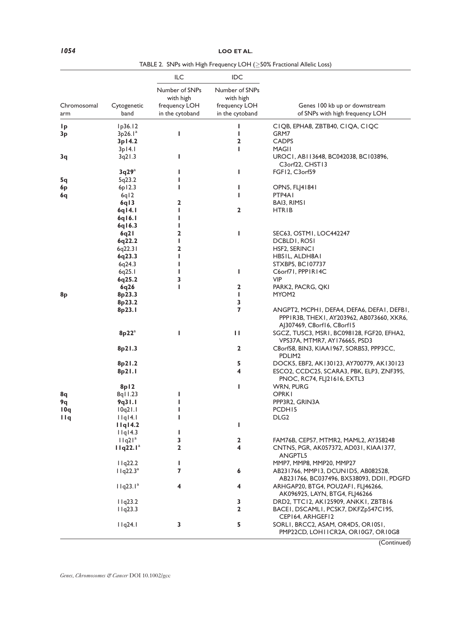# 1054 LOO ET AL.

|                    |                          | ILC                              | IDC                              |                                                                                                                       |
|--------------------|--------------------------|----------------------------------|----------------------------------|-----------------------------------------------------------------------------------------------------------------------|
|                    |                          | Number of SNPs<br>with high      | Number of SNPs<br>with high      |                                                                                                                       |
| Chromosomal<br>arm | Cytogenetic<br>band      | frequency LOH<br>in the cytoband | frequency LOH<br>in the cytoband | Genes 100 kb up or downstream<br>of SNPs with high frequency LOH                                                      |
| 1 <sub>p</sub>     | lp36.12                  |                                  | I                                | CIQB, EPHA8, ZBTB40, CIQA, CIQC                                                                                       |
| 3p                 | 3p26.1 <sup>a</sup>      | ı                                | ı                                | GRM7                                                                                                                  |
|                    | 3p14.2                   |                                  | 2                                | <b>CADPS</b>                                                                                                          |
|                    | $3p$ <sub>14.1</sub>     |                                  | п                                | MAGII                                                                                                                 |
| 3q                 | 3q21.3                   | ı                                |                                  | UROCI, ABII3648, BC042038, BC103896,<br>C3orf22, CHST13                                                               |
|                    | 3q29a                    | ı                                | ı                                | FGF12, C3orf59                                                                                                        |
| 5q                 | 5q23.2                   |                                  |                                  |                                                                                                                       |
| 6p                 | 6p12.3                   | ı                                | ı                                | OPN5, FLJ41841                                                                                                        |
| 6q                 | 6q12                     |                                  | L                                | PTP4A1                                                                                                                |
|                    | 6q13                     | 2<br>ı                           | 2                                | BAI3, RIMSI                                                                                                           |
|                    | 6q14.1<br>$6q$   6.1     | ı                                |                                  | HTRIB                                                                                                                 |
|                    | 6q16.3                   | ı                                |                                  |                                                                                                                       |
|                    | 6q2 l                    | 2                                | ı                                | SEC63, OSTMI, LOC442247                                                                                               |
|                    | 6q22.2                   | ı                                |                                  | DCBLDI, ROSI                                                                                                          |
|                    | 6q22.31                  | 2                                |                                  | HSF2, SERINC I                                                                                                        |
|                    | 6q23.3                   | ı                                |                                  | HBSIL, ALDH8AI                                                                                                        |
|                    | 6q24.3                   | ı                                |                                  | STXBP5, BC107737                                                                                                      |
|                    | 6q25.1                   | ı                                | ı                                | C6orf71, PPPIR14C                                                                                                     |
|                    | 6q25.2                   | 3                                |                                  | VIP                                                                                                                   |
|                    | 6q26                     | ı                                | $\mathbf{2}$                     | PARK2, PACRG, QKI                                                                                                     |
| 8 <sub>p</sub>     | 8p23.3                   |                                  | L                                | MYOM2                                                                                                                 |
|                    | 8p23.2                   |                                  | 3                                |                                                                                                                       |
|                    | 8p23.1                   |                                  | $\overline{\mathbf{z}}$          | ANGPT2, MCPHI, DEFA4, DEFA6, DEFAI, DEFBI,<br>PPPIR3B, THEXI, AY203962, AB073660, XKR6,<br>AJ307469, C8orf16, C8orf15 |
|                    | $8p22^a$                 | ı                                | П                                | SGCZ, TUSC3, MSR1, BC098128, FGF20, EFHA2,<br>VPS37A, MTMR7, AY176665, PSD3                                           |
|                    | 8p21.3                   |                                  | $\mathbf{2}$                     | C8orf58, BIN3, KIAA1967, SORBS3, PPP3CC,<br>PDLIM <sub>2</sub>                                                        |
|                    | 8p21.2                   |                                  | 5                                | DOCK5, EBF2, AK130123, AY700779, AK130123                                                                             |
|                    | 8p21.1                   |                                  | 4                                | ESCO2, CCDC25, SCARA3, PBK, ELP3, ZNF395,<br>PNOC, RC74, FL 21616, EXTL3                                              |
|                    | 8p12                     |                                  | ı                                | WRN, PURG                                                                                                             |
| 8q<br>9q           | $8q$   1.23<br>9q31.1    | ı<br>ı                           |                                  | OPRKI<br>PPP3R2, GRIN3A                                                                                               |
| 10q                | 10q21.1                  | ı                                |                                  | PCDH15                                                                                                                |
| 11q                | I1q14.I                  |                                  |                                  | DLG <sub>2</sub>                                                                                                      |
|                    | I1q14.2                  |                                  | L                                |                                                                                                                       |
|                    | I q 4.3                  | L                                |                                  |                                                                                                                       |
|                    | 11q21 <sup>a</sup>       | 3                                | $\mathbf 2$                      | FAM76B, CEP57, MTMR2, MAML2, AY358248                                                                                 |
|                    | $11q22.1^a$              | 2                                | 4                                | CNTN5, PGR, AK057372, AD031, KIAA1377,<br>ANGPTL5                                                                     |
|                    | 11q22.2                  | г                                |                                  | MMP7, MMP8, MMP20, MMP27                                                                                              |
|                    | $11q22.3^a$              | 7                                | 6                                | AB231766, MMP13, DCUN1D5, AB082528,<br>AB231766, BC037496, BX538093, DDII, PDGFD                                      |
|                    | $I$ I q23.1 <sup>a</sup> | 4                                | 4                                | ARHGAP20, BTG4, POU2AFI, FLJ46266,<br>AK096925, LAYN, BTG4, FLJ46266                                                  |
|                    | 11q23.2                  |                                  | 3                                | DRD2, TTC12, AK125909, ANKKI, ZBTB16                                                                                  |
|                    | 11q23.3                  |                                  | 2                                | BACEI, DSCAMLI, PCSK7, DKFZp547C195,<br>CEP164, ARHGEF12                                                              |
|                    | I1q24.I                  | 3                                | 5                                | SORLI, BRCC2, ASAM, OR4D5, OR10S1,<br>PMP22CD, LOHIICR2A, ORI0G7, ORI0G8                                              |

TABLE 2. SNPs with High Frequency LOH ( $\geq$ 50% Fractional Allelic Loss)

(Continued)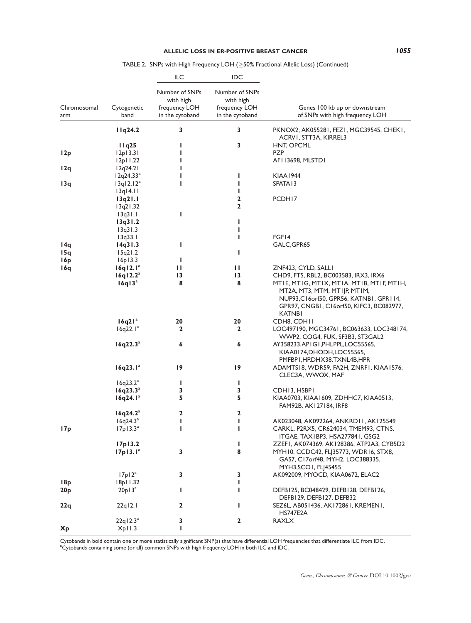|                    |                       | ILC                                                             | IDC                                                             |                                                                                                                                                                                     |
|--------------------|-----------------------|-----------------------------------------------------------------|-----------------------------------------------------------------|-------------------------------------------------------------------------------------------------------------------------------------------------------------------------------------|
| Chromosomal<br>arm | Cytogenetic<br>band   | Number of SNPs<br>with high<br>frequency LOH<br>in the cytoband | Number of SNPs<br>with high<br>frequency LOH<br>in the cytoband | Genes 100 kb up or downstream<br>of SNPs with high frequency LOH                                                                                                                    |
|                    | 11q24.2               | 3                                                               | 3                                                               | PKNOX2, AK055281, FEZ1, MGC39545, CHEK1,                                                                                                                                            |
|                    |                       |                                                                 |                                                                 | ACRVI, STT3A, KIRREL3                                                                                                                                                               |
|                    | 11q25                 | ı                                                               | 3                                                               | HNT, OPCML                                                                                                                                                                          |
| 12p                | 12p13.31              | ı                                                               |                                                                 | <b>PZP</b>                                                                                                                                                                          |
|                    | 12p11.22              | L                                                               |                                                                 | AFI 13698, MLSTD1                                                                                                                                                                   |
| 12q                | 12q24.21              | ı                                                               |                                                                 |                                                                                                                                                                                     |
|                    | 12q24.33 <sup>a</sup> | ı                                                               | L                                                               | <b>KIAA1944</b>                                                                                                                                                                     |
| 13q                | 13q12.12 <sup>a</sup> | ı                                                               | L                                                               | SPATA <sub>13</sub>                                                                                                                                                                 |
|                    | $13q$ $14.11$         |                                                                 | т<br>2                                                          |                                                                                                                                                                                     |
|                    | 13q21.1               |                                                                 | 2                                                               | PCDH17                                                                                                                                                                              |
|                    | 13q21.32<br>13q31.1   | ı                                                               |                                                                 |                                                                                                                                                                                     |
|                    | 13q31.2               |                                                                 | ı                                                               |                                                                                                                                                                                     |
|                    | 13q31.3               |                                                                 | L                                                               |                                                                                                                                                                                     |
|                    | 13q33.1               |                                                                 | L                                                               | FGF14                                                                                                                                                                               |
| 14q                | 14q31.3               | ı                                                               |                                                                 | GALC, GPR65                                                                                                                                                                         |
| 15q                | 15q21.2               |                                                                 | L                                                               |                                                                                                                                                                                     |
| 16p                | 16p13.3               | I                                                               |                                                                 |                                                                                                                                                                                     |
| 16q                | 16q12.1 <sup>a</sup>  | н                                                               | Ш                                                               | ZNF423, CYLD, SALLI                                                                                                                                                                 |
|                    | 16q12.2 <sup>a</sup>  | 13                                                              | $\overline{13}$                                                 | CHD9, FTS, RBL2, BC003583, IRX3, IRX6                                                                                                                                               |
|                    | 16q13 <sup>a</sup>    | 8                                                               | 8                                                               | MTIE, MTIG, MTIX, MTIA, MTIB, MTIF, MTIH,<br>MT2A, MT3, MTM, MTIJP, MTIM,<br>NUP93, C16 or f50, GPR56, KATNBI, GPRI14,<br>GPR97, CNGB1, C16orf50, KIFC3, BC082977,<br><b>KATNBI</b> |
|                    | 16q21 <sup>a</sup>    | 20                                                              | 20                                                              | CDH8, CDHII                                                                                                                                                                         |
|                    | $16q22.1^a$           | 2                                                               | 2                                                               | LOC497190, MGC34761, BC063633, LOC348174,<br>WWP2, COG4, FUK, SF3B3, ST3GAL2                                                                                                        |
|                    | $16q22.3^a$           | 6                                                               | 6                                                               | AY358233,APIGI,PHLPPL,LOC55565,<br>KIAA0174,DHODH,LOC55565,<br>PMFBP1,HP,DHX38,TXNL4B,HPR                                                                                           |
|                    | $16q23.1^a$           | 19                                                              | 19                                                              | ADAMTS18, WDR59, FA2H, ZNRF1, KIAA1576,<br>CLEC3A, WWOX, MAF                                                                                                                        |
|                    | 16q23.2 <sup>a</sup>  | L                                                               | L                                                               |                                                                                                                                                                                     |
|                    | $16q23.3^a$           | 3                                                               | 3                                                               | CDH13, HSBPI                                                                                                                                                                        |
|                    | 16q24.1 <sup>a</sup>  | 5                                                               | 5                                                               | KIAA0703, KIAA1609, ZDHHC7, KIAA0513,<br>FAM92B, AK127184, IRF8                                                                                                                     |
|                    | 16q24.2 <sup>a</sup>  | 2                                                               | 2                                                               |                                                                                                                                                                                     |
|                    | $16q24.3^a$           | I                                                               | L                                                               | AK023048, AK092264, ANKRD11, AK125549                                                                                                                                               |
| 17p                | 17p13.3 <sup>a</sup>  | ı                                                               | т                                                               | CARKL, P2RX5, CR624034, TMEM93, CTNS,<br>ITGAE, TAXIBP3, HSA277841, GSG2                                                                                                            |
|                    | 17p13.2               |                                                                 | L                                                               | ZZEFI, AK074369, AK128386, ATP2A3, CYB5D2                                                                                                                                           |
|                    | 17p13.1 <sup>a</sup>  | 3                                                               | 8                                                               | MYH10, CCDC42, FLJ35773, WDR16, STX8,<br>GAS7, C17orf48, MYH2, LOC388335,<br>MYH3, SCO1, FLJ45455                                                                                   |
|                    | 17p12 <sup>a</sup>    | 3                                                               | 3                                                               | AK092009, MYOCD, KIAA0672, ELAC2                                                                                                                                                    |
| 18p                | 18p11.32              |                                                                 | L                                                               |                                                                                                                                                                                     |
| 20 <sub>p</sub>    | $20p13^a$             | L                                                               | L                                                               | DEFB125, BC048429, DEFB128, DEFB126,<br>DEFB129, DEFB127, DEFB32                                                                                                                    |
| 22q                | $22q$ <sub>12.1</sub> | 2                                                               | т                                                               | SEZ6L, AB051436, AK172861, KREMENI,<br><b>HS747E2A</b>                                                                                                                              |
| <b>Xp</b>          | $22q12.3^a$<br>Xp11.3 | 3<br>L                                                          | $\mathbf{2}$                                                    | <b>RAXLX</b>                                                                                                                                                                        |

TABLE 2. SNPs with High Frequency LOH ( $\geq$ 50% Fractional Allelic Loss) (Continued)

Cytobands in bold contain one or more statistically significant SNP(s) that have differential LOH frequencies that differentiate ILC from IDC.<br>ªCytobands containing some (or all) common SNPs with high frequency LOH in both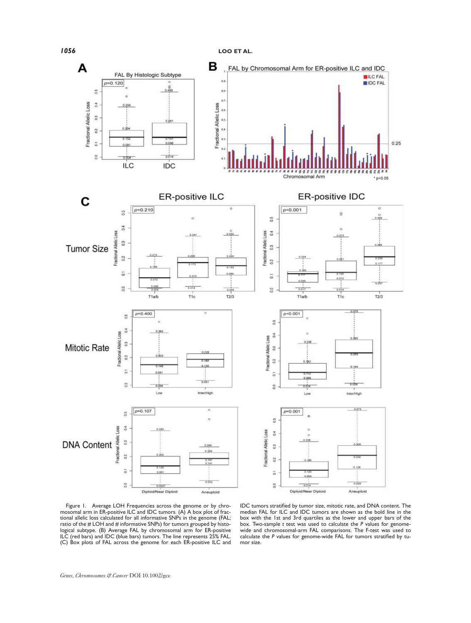



Figure 1. Average LOH Frequencies across the genome or by chro-mosomal arm in ER-positive ILC and IDC tumors. (A) A box plot of frac-tional allelic loss calculated for all informative SNPs in the genome (FAL; ratio of the # LOH and # informative SNPs) for tumors grouped by histological subtype. (B) Average FAL by chromosomal arm for ER-positive ILC (red bars) and IDC (blue bars) tumors. The line represents 25% FAL. (C) Box plots of FAL across the genome for each ER-positive ILC and

IDC tumors stratified by tumor size, mitotic rate, and DNA content. The median FAL for ILC and IDC tumors are shown as the bold line in the box with the 1st and 3rd quartiles as the lower and upper bars of the box. Two-sample t test was used to calculate the P values for genomewide and chromosomal-arm FAL comparisons. The F-test was used to calculate the P values for genome-wide FAL for tumors stratified by tumor size.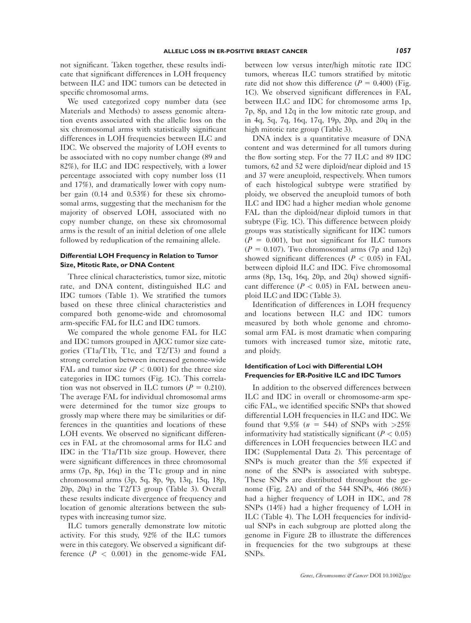not significant. Taken together, these results indicate that significant differences in LOH frequency between ILC and IDC tumors can be detected in specific chromosomal arms.

We used categorized copy number data (see Materials and Methods) to assess genomic alteration events associated with the allelic loss on the six chromosomal arms with statistically significant differences in LOH frequencies between ILC and IDC. We observed the majority of LOH events to be associated with no copy number change (89 and 82%), for ILC and IDC respectively, with a lower percentage associated with copy number loss (11 and 17%), and dramatically lower with copy number gain (0.14 and 0.53%) for these six chromosomal arms, suggesting that the mechanism for the majority of observed LOH, associated with no copy number change, on these six chromosomal arms is the result of an initial deletion of one allele followed by reduplication of the remaining allele.

#### Differential LOH Frequency in Relation to Tumor Size, Mitotic Rate, or DNA Content

Three clinical characteristics, tumor size, mitotic rate, and DNA content, distinguished ILC and IDC tumors (Table 1). We stratified the tumors based on these three clinical characteristics and compared both genome-wide and chromosomal arm-specific FAL for ILC and IDC tumors.

We compared the whole genome FAL for ILC and IDC tumors grouped in AJCC tumor size categories (T1a/T1b, T1c, and T2/T3) and found a strong correlation between increased genome-wide FAL and tumor size  $(P < 0.001)$  for the three size categories in IDC tumors (Fig. 1C). This correlation was not observed in ILC tumors ( $P = 0.210$ ). The average FAL for individual chromosomal arms were determined for the tumor size groups to grossly map where there may be similarities or differences in the quantities and locations of these LOH events. We observed no significant differences in FAL at the chromosomal arms for ILC and IDC in the T1a/T1b size group. However, there were significant differences in three chromosomal arms (7p, 8p, 16q) in the T1c group and in nine chromosomal arms (3p, 5q, 8p, 9p, 13q, 15q, 18p, 20p, 20q) in the T2/T3 group (Table 3). Overall these results indicate divergence of frequency and location of genomic alterations between the subtypes with increasing tumor size.

ILC tumors generally demonstrate low mitotic activity. For this study, 92% of the ILC tumors were in this category. We observed a significant difference  $(P < 0.001)$  in the genome-wide FAL

between low versus inter/high mitotic rate IDC tumors, whereas ILC tumors stratified by mitotic rate did not show this difference  $(P = 0.400)$  (Fig. 1C). We observed significant differences in FAL between ILC and IDC for chromosome arms 1p, 7p, 8p, and 12q in the low mitotic rate group, and in 4q, 5q, 7q, 16q, 17q, 19p, 20p, and 20q in the high mitotic rate group (Table 3).

DNA index is a quantitative measure of DNA content and was determined for all tumors during the flow sorting step. For the 77 ILC and 89 IDC tumors, 62 and 52 were diploid/near diploid and 15 and 37 were aneuploid, respectively. When tumors of each histological subtype were stratified by ploidy, we observed the aneuploid tumors of both ILC and IDC had a higher median whole genome FAL than the diploid/near diploid tumors in that subtype (Fig. 1C). This difference between ploidy groups was statistically significant for IDC tumors  $(P = 0.001)$ , but not significant for ILC tumors  $(P = 0.107)$ . Two chromosomal arms (7p and 12q) showed significant differences ( $P < 0.05$ ) in FAL between diploid ILC and IDC. Five chromosomal arms (8p, 13q, 16q, 20p, and 20q) showed significant difference ( $P < 0.05$ ) in FAL between aneuploid ILC and IDC (Table 3).

Identification of differences in LOH frequency and locations between ILC and IDC tumors measured by both whole genome and chromosomal arm FAL is most dramatic when comparing tumors with increased tumor size, mitotic rate, and ploidy.

#### Identification of Loci with Differential LOH Frequencies for ER-Positive ILC and IDC Tumors

In addition to the observed differences between ILC and IDC in overall or chromosome-arm specific FAL, we identified specific SNPs that showed differential LOH frequencies in ILC and IDC. We found that 9.5% ( $n = 544$ ) of SNPs with >25% informativity had statistically significant ( $P < 0.05$ ) differences in LOH frequencies between ILC and IDC (Supplemental Data 2). This percentage of SNPs is much greater than the 5% expected if none of the SNPs is associated with subtype. These SNPs are distributed throughout the genome (Fig. 2A) and of the 544 SNPs, 466 (86%) had a higher frequency of LOH in IDC, and 78 SNPs (14%) had a higher frequency of LOH in ILC (Table 4). The LOH frequencies for individual SNPs in each subgroup are plotted along the genome in Figure 2B to illustrate the differences in frequencies for the two subgroups at these SNPs.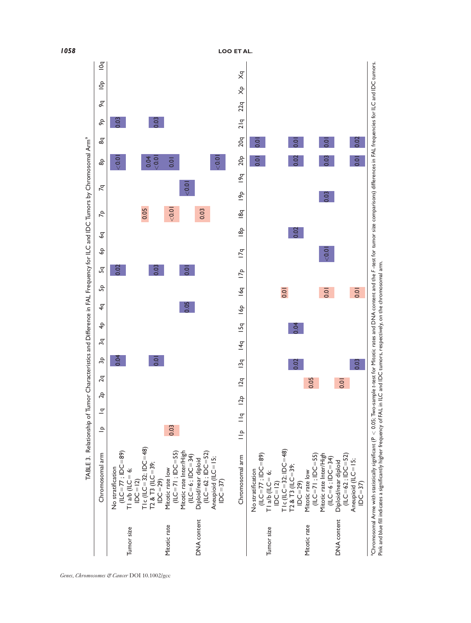

1058 LOO ET AL.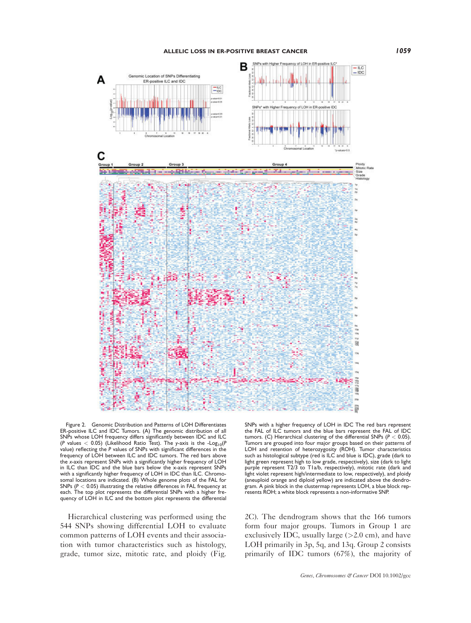

Figure 2. Genomic Distribution and Patterns of LOH Differentiates ER-positive ILC and IDC Tumors. (A) The genomic distribution of all SNPs whose LOH frequency differs significantly between IDC and ILC (P values  $< 0.05$ ) (Likelihood Ratio Test). The y-axis is the -Log<sub>10</sub>(P<br>value) reflecting the P values of SNPs with significant differences in the frequency of LOH between ILC and IDC tumors. The red bars above the x-axis represent SNPs with a significantly higher frequency of LOH in ILC than IDC and the blue bars below the x-axis represent SNPs with a significantly higher frequency of LOH in IDC than ILC. Chromo-somal locations are indicated. (B) Whole genome plots of the FAL for

Hierarchical clustering was performed using the 544 SNPs showing differential LOH to evaluate common patterns of LOH events and their association with tumor characteristics such as histology, grade, tumor size, mitotic rate, and ploidy (Fig.

SNPs ( $P < 0.05$ ) illustrating the relative differences in FAL frequency at each. The top plot represents the differential SNPs with a higher fre-quency of LOH in ILC and the bottom plot represents the differential

SNPs with a higher frequency of LOH in IDC The red bars represent the FAL of ILC tumors and the blue bars represent the FAL of IDC tumors. (C) Hierarchical clustering of the differential SNPs ( $P < 0.05$ ). Tumors are grouped into four major groups based on their patterns of LOH and retention of heterozygosity (ROH). Tumor characteristics such as histological subtype (red is ILC and blue is IDC), grade (dark to light green represent high to low grade, respectively), size (dark to light purple represent T2/3 to T1a/b, respectively), mitotic rate (dark and light violet represent high/intermediate to low, respectively), and ploidy (aneuploid orange and diploid yellow) are indicated above the dendrogram. A pink block in the clustermap represents LOH, a blue block represents ROH; a white block represents a non-informative SNP.

2C). The dendrogram shows that the 166 tumors form four major groups. Tumors in Group 1 are exclusively IDC, usually large  $(>2.0 \text{ cm})$ , and have LOH primarily in 3p, 5q, and 13q. Group 2 consists primarily of IDC tumors (67%), the majority of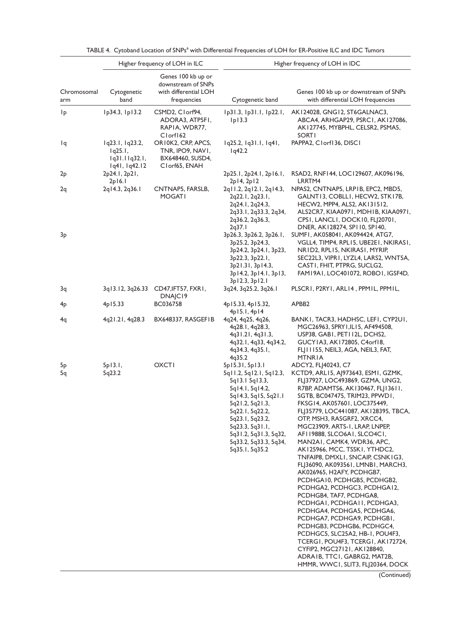|                    |                                                              | Higher frequency of LOH in ILC                                                   |                                                                                                                                                                                                                                                            | Higher frequency of LOH in IDC                                                                                                                                                                                                                                                                                                                                                                                                                                                                                                                                                                                                                                                                                                                                                                                                                                                                                    |
|--------------------|--------------------------------------------------------------|----------------------------------------------------------------------------------|------------------------------------------------------------------------------------------------------------------------------------------------------------------------------------------------------------------------------------------------------------|-------------------------------------------------------------------------------------------------------------------------------------------------------------------------------------------------------------------------------------------------------------------------------------------------------------------------------------------------------------------------------------------------------------------------------------------------------------------------------------------------------------------------------------------------------------------------------------------------------------------------------------------------------------------------------------------------------------------------------------------------------------------------------------------------------------------------------------------------------------------------------------------------------------------|
| Chromosomal<br>arm | Cytogenetic<br>band                                          | Genes 100 kb up or<br>downstream of SNPs<br>with differential LOH<br>frequencies | Cytogenetic band                                                                                                                                                                                                                                           | Genes 100 kb up or downstream of SNPs<br>with differential LOH frequencies                                                                                                                                                                                                                                                                                                                                                                                                                                                                                                                                                                                                                                                                                                                                                                                                                                        |
| 1p                 | Ip34.3, Ip13.2                                               | CSMD2, Clorf94,<br>ADORA3, ATP5FI,<br>RAPIA, WDR77,<br>Clorf162                  | Ip31.3, Ip31.1, Ip22.1,<br>lp13.3                                                                                                                                                                                                                          | AK124028, GNG12, ST6GALNAC3,<br>ABCA4, ARHGAP29, PSRCI, AK127086,<br>AK127745, MYBPHL, CELSR2, PSMA5,<br><b>SORTI</b>                                                                                                                                                                                                                                                                                                                                                                                                                                                                                                                                                                                                                                                                                                                                                                                             |
| Ιq                 | lq23.l, lq23.2,<br>Iq25.1,<br>1q31.11q32.1,<br>1q41, 1q42.12 | OR10K2, CRP, APCS,<br>TNR, IPO9, NAVI,<br>BX648460, SUSD4,<br>Clorf65, ENAH      | lq25.2, lq31.1, lq41,<br>1q42.2                                                                                                                                                                                                                            | PAPPA2, Clorf136, DISCI                                                                                                                                                                                                                                                                                                                                                                                                                                                                                                                                                                                                                                                                                                                                                                                                                                                                                           |
| 2p                 | 2p24.1, 2p21,<br>2p16.1                                      |                                                                                  | 2p25.1, 2p24.1, 2p16.1,<br>2p14, 2p12                                                                                                                                                                                                                      | RSAD2, RNF144, LOC129607, AK096196,<br>LRRTM4                                                                                                                                                                                                                                                                                                                                                                                                                                                                                                                                                                                                                                                                                                                                                                                                                                                                     |
| 2q                 | 2q14.3, 2q36.1                                               | CNTNAP5, FARSLB,<br><b>MOGATI</b>                                                | 2qll.2, 2ql2.1, 2ql4.3,<br>2q22.1, 2q23.1,<br>2q24.1, 2q24.3,<br>2q33.1, 2q33.3, 2q34,<br>2q36.2, 2q36.3,<br>2q37.1                                                                                                                                        | NPAS2, CNTNAP5, LRPIB, EPC2, MBD5,<br>GALNT 13, COBLL 1, HECW2, STK 17B,<br>HECW2, MPP4, ALS2, AK131512,<br>ALS2CR7, KIAA0971, MDH1B, KIAA0971,<br>CPSI, LANCLI, DOCKI0, FLJ20701,<br>DNER, AK128274, SP110, SP140,                                                                                                                                                                                                                                                                                                                                                                                                                                                                                                                                                                                                                                                                                               |
| 3 <sub>p</sub>     |                                                              |                                                                                  | 3p26.3, 3p26.2, 3p26.1,<br>3p25.2, 3p24.3,<br>3p24.2, 3p24.1, 3p23,<br>3p22.3, 3p22.1,<br>3p21.31, 3p14.3,<br>3p14.2, 3p14.1, 3p13,<br>3p12.3, 3p12.1                                                                                                      | SUMFI, AK058041, AK094424, ATG7,<br>VGLL4, TIMP4, RPL15, UBE2E1, NKIRAS1,<br>NRID2, RPLI5, NKIRASI, MYRIP,<br>SEC22L3, VIPRI, LYZL4, LARS2, WNT5A,<br>CASTI, FHIT, PTPRG, SUCLG2,<br>FAM19A1, LOC401072, ROBO1, IGSF4D,                                                                                                                                                                                                                                                                                                                                                                                                                                                                                                                                                                                                                                                                                           |
| 3q                 | 3q13.12, 3q26.33                                             | CD47, IFT57, FXR1,<br>DNAJC <sub>19</sub>                                        | 3q24, 3q25.2, 3q26.1                                                                                                                                                                                                                                       | PLSCRI, P2RYI, ARLI4, PPMIL, PPMIL,                                                                                                                                                                                                                                                                                                                                                                                                                                                                                                                                                                                                                                                                                                                                                                                                                                                                               |
| 4 <sub>p</sub>     | 4p15.33                                                      | BC036758                                                                         | 4p15.33, 4p15.32,<br>4p15.1, 4p14                                                                                                                                                                                                                          | APBB <sub>2</sub>                                                                                                                                                                                                                                                                                                                                                                                                                                                                                                                                                                                                                                                                                                                                                                                                                                                                                                 |
| 4q                 | 4q21.21, 4q28.3                                              | BX648337, RASGEFIB                                                               | 4q24, 4q25, 4q26,<br>4q28.1, 4q28.3,<br>4q31.21, 4q31.3,<br>4q32.1, 4q33, 4q34.2,<br>4q34.3, 4q35.1,<br>4q35.2                                                                                                                                             | BANKI, TACR3, HADHSC, LEFI, CYP2UI,<br>MGC26963, SPRY1, IL15, AF494508,<br>USP38, GABI, PETII2L, DCHS2,<br>GUCY1A3, AK172805, C4orf18,<br>FLJ I I I 55, NEIL3, AGA, NEIL3, FAT,<br><b>MTNRIA</b>                                                                                                                                                                                                                                                                                                                                                                                                                                                                                                                                                                                                                                                                                                                  |
| 5p<br>5q           | 5p13.1,<br>5q23.2                                            | <b>OXCTI</b>                                                                     | 5p15.31, 5p13.1<br>5ql 1.2, 5ql 2.1, 5ql 2.3,<br>5q13.1 5q13.3,<br>5q14.1, 5q14.2,<br>5q14.3, 5q15, 5q21.1<br>5q21.2, 5q21.3,<br>5q22.1, 5q22.2,<br>5q23.1, 5q23.2,<br>5q23.3, 5q31.1,<br>5q31.2, 5q31.3, 5q32,<br>5q33.2, 5q33.3, 5q34,<br>5q35.1, 5q35.2 | ADCY2, FLJ40243, C7<br>KCTD9, ARL15, AJ973643, ESM1, GZMK,<br>FLJ37927, LOC493869, GZMA, UNG2,<br>R7BP, ADAMTS6, AK130467, FLJ13611,<br>SGTB, BC047475, TRIM23, PPWD1,<br>FKSG14, AK057601, LOC375449,<br>FLJ35779, LOC441087, AK128395, TBCA,<br>OTP, MSH3, RASGRF2, XRCC4,<br>MGC23909, ARTS-1, LRAP, LNPEP,<br>AFII9888, SLCO6AI, SLCO4CI,<br>MAN2AI, CAMK4, WDR36, APC,<br>AK125966, MCC, TSSK1, YTHDC2,<br>TNFAIP8, DMXLI, SNCAIP, CSNKIG3,<br>FLJ36090, AK093561, LMNB1, MARCH3,<br>AK026965, H2AFY, PCDHGB7,<br>PCDHGA10, PCDHGB5, PCDHGB2,<br>PCDHGA2, PCDHGC3, PCDHGA12,<br>PCDHGB4, TAF7, PCDHGA8,<br>PCDHGAI, PCDHGAII, PCDHGA3,<br>PCDHGA4, PCDHGA5, PCDHGA6,<br>PCDHGA7, PCDHGA9, PCDHGBI,<br>PCDHGB3, PCDHGB6, PCDHGC4,<br>PCDHGC5, SLC25A2, HB-1, POU4F3,<br>TCERGI, POU4F3, TCERGI, AKI72724,<br>CYFIP2, MGC27121, AK128840,<br>ADRAIB, TTCI, GABRG2, MAT2B,<br>HMMR, WWCI, SLIT3, FLJ20364, DOCK |

|  |  |  | TABLE 4. Cytoband Location of SNPs <sup>a</sup> with Differential Frequencies of LOH for ER-Positive ILC and IDC Tumors |
|--|--|--|-------------------------------------------------------------------------------------------------------------------------|
|  |  |  |                                                                                                                         |

(Continued)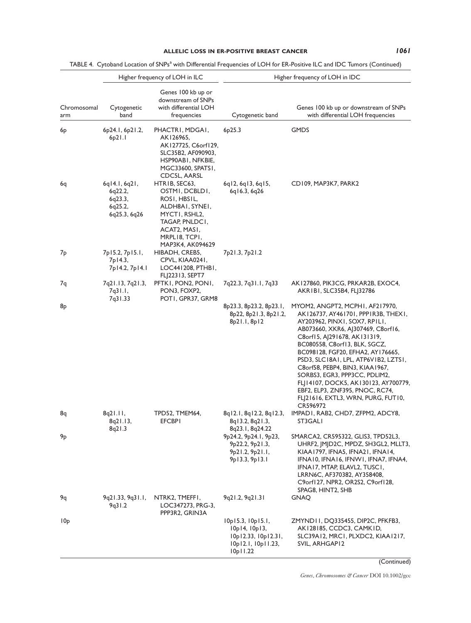TABLE 4. Cytoband Location of SNPs<sup>a</sup> with Differential Frequencies of LOH for ER-Positive ILC and IDC Tumors (Continued)

|                    |                                                                        | Higher frequency of LOH in ILC                                                                                                                             |                                                                                             | Higher frequency of LOH in IDC                                                                                                                                                                                                                                                                                                                                                                                                                                                               |
|--------------------|------------------------------------------------------------------------|------------------------------------------------------------------------------------------------------------------------------------------------------------|---------------------------------------------------------------------------------------------|----------------------------------------------------------------------------------------------------------------------------------------------------------------------------------------------------------------------------------------------------------------------------------------------------------------------------------------------------------------------------------------------------------------------------------------------------------------------------------------------|
| Chromosomal<br>arm | Cytogenetic<br>band                                                    | Genes 100 kb up or<br>downstream of SNPs<br>with differential LOH<br>frequencies                                                                           | Cytogenetic band                                                                            | Genes 100 kb up or downstream of SNPs<br>with differential LOH frequencies                                                                                                                                                                                                                                                                                                                                                                                                                   |
| 6р                 | 6p24.1, 6p21.2,<br>6p21.1                                              | PHACTRI, MDGAI,<br>AK126965,<br>AK127725, C6orf129,<br>SLC35B2, AF090903,<br>HSP90ABI, NFKBIE,<br>MGC33600, SPATS1,<br>CDC5L, AARSL                        | 6 <sub>p</sub> 25.3                                                                         | <b>GMDS</b>                                                                                                                                                                                                                                                                                                                                                                                                                                                                                  |
| 6q                 | $6q$   4.  , $6q$ 2 ,<br>6q22.2,<br>6q23.3,<br>6q25.2,<br>6q25.3, 6q26 | HTRIB, SEC63,<br>OSTMI, DCBLDI,<br>ROSI, HBSIL,<br>ALDH8AI, SYNEI,<br>MYCTI, RSHL2,<br>TAGAP, PNLDCI,<br>ACAT2, MASI,<br>MRPLI8, TCPI,<br>MAP3K4, AK094629 | 6q12, 6q13, 6q15,<br>6q16.3, 6q26                                                           | CD109, MAP3K7, PARK2                                                                                                                                                                                                                                                                                                                                                                                                                                                                         |
| 7 <sub>p</sub>     | 7p15.2, 7p15.1,<br>7p I 4.3,<br>7p14.2, 7p14.1                         | HIBADH, CREB5,<br>CPVL, KIAA0241,<br>LOC441208, PTHB1,<br>FL 22313, SEPT7                                                                                  | 7p21.3, 7p21.2                                                                              |                                                                                                                                                                                                                                                                                                                                                                                                                                                                                              |
| 7q                 | 7q21.13, 7q21.3,<br>7q31.1,<br>7q31.33                                 | PFTK1, PON2, PON1,<br>PON3, FOXP2,<br>POTI, GPR37, GRM8                                                                                                    | 7q22.3, 7q31.1, 7q33                                                                        | AK127860, PIK3CG, PRKAR2B, EXOC4,<br>AKRIBI, SLC35B4, FLJ32786                                                                                                                                                                                                                                                                                                                                                                                                                               |
| 8p                 |                                                                        |                                                                                                                                                            | 8p23.3, 8p23.2, 8p23.1,<br>8p22, 8p21.3, 8p21.2,<br>8p21.1, 8p12                            | MYOM2, ANGPT2, MCPH1, AF217970,<br>AK126737, AY461701, PPP1R3B, THEX1,<br>AY203962, PINXI, SOX7, RPILI,<br>AB073660, XKR6, AJ307469, C8orf16,<br>C8orf15, AJ291678, AK131319,<br>BC080558, C8orf13, BLK, SGCZ,<br>BC098128, FGF20, EFHA2, AY176665,<br>PSD3, SLC18A1, LPL, ATP6V1B2, LZTS1,<br>C8orf58, PEBP4, BIN3, KIAA1967,<br>SORBS3, EGR3, PPP3CC, PDLIM2,<br>FLJ14107, DOCK5, AK130123, AY700779,<br>EBF2, ELP3, ZNF395, PNOC, RC74,<br>FL 21616, EXTL3, WRN, PURG, FUT10,<br>CR596972 |
| 8q                 | 8q21.11,<br>8q21.13,<br>8q21.3                                         | TPD52, TMEM64,<br><b>EFCBPI</b>                                                                                                                            | 8q12.1, 8q12.2, 8q12.3,<br>8q13.2, 8q21.3,<br>8q23.1, 8q24.22                               | IMPADI, RAB2, CHD7, ZFPM2, ADCY8,<br>ST3GALI                                                                                                                                                                                                                                                                                                                                                                                                                                                 |
| $\mathsf{9p}$      |                                                                        |                                                                                                                                                            | 9p24.2, 9p24.1, 9p23,<br>9p22.2, 9p21.3,<br>9p21.2, 9p21.1,<br>9p13.3, 9p13.1               | SMARCA2, CR595322, GLIS3, TPD52L3,<br>UHRF2, JMJD2C, MPDZ, SH3GL2, MLLT3,<br>KIAA 1797, IFNA5, IFNA21, IFNA14,<br>IFNAI0, IFNAI6, IFNWI, IFNA7, IFNA4,<br>IFNA17, MTAP, ELAVL2, TUSC1,<br>LRRN6C, AF370382, AY358408,<br>C9orf127, NPR2, OR2S2, C9orf128,<br>SPAG8, HINT2, SHB                                                                                                                                                                                                               |
| 9q                 | 9q21.33, 9q31.1,<br>9q31.2                                             | NTRK2, TMEFFI,<br>LOC347273, PRG-3,<br>PPP3R2, GRIN3A                                                                                                      | 9q21.2, 9q21.31                                                                             | <b>GNAO</b>                                                                                                                                                                                                                                                                                                                                                                                                                                                                                  |
| 10 <sub>p</sub>    |                                                                        |                                                                                                                                                            | 10p15.3, 10p15.1,<br>10p14, 10p13,<br>I0p12.33, I0p12.31,<br>10p12.1, 10p11.23,<br>10p11.22 | ZMYND11, DQ335455, DIP2C, PFKFB3,<br>AK 128185, CCDC3, CAMK ID,<br>SLC39A12, MRC1, PLXDC2, KIAA1217,<br>SVIL, ARHGAPI2                                                                                                                                                                                                                                                                                                                                                                       |

(Continued)

Genes, Chromosomes & Cancer DOI 10.1002/gcc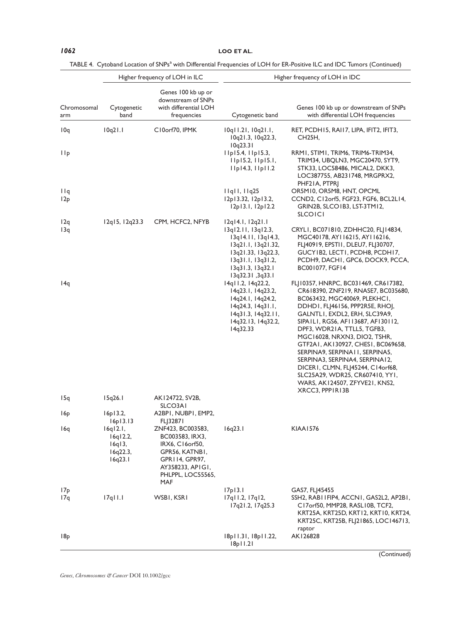1062 LOO ET AL.

|  | TABLE 4. Cytoband Location of SNPs <sup>a</sup> with Differential Frequencies of LOH for ER-Positive ILC and IDC Tumors (Continued) |  |
|--|-------------------------------------------------------------------------------------------------------------------------------------|--|
|  |                                                                                                                                     |  |

|                        |                                                                               | Higher frequency of LOH in ILC                                                                                                                                                 |                                                                                                                                                                       | Higher frequency of LOH in IDC                                                                                                                                                                                                                                                                                                                                                                                                                                                                                                |
|------------------------|-------------------------------------------------------------------------------|--------------------------------------------------------------------------------------------------------------------------------------------------------------------------------|-----------------------------------------------------------------------------------------------------------------------------------------------------------------------|-------------------------------------------------------------------------------------------------------------------------------------------------------------------------------------------------------------------------------------------------------------------------------------------------------------------------------------------------------------------------------------------------------------------------------------------------------------------------------------------------------------------------------|
| Chromosomal<br>arm     | Cytogenetic<br>band                                                           | Genes 100 kb up or<br>downstream of SNPs<br>with differential LOH<br>frequencies                                                                                               | Cytogenetic band                                                                                                                                                      | Genes 100 kb up or downstream of SNPs<br>with differential LOH frequencies                                                                                                                                                                                                                                                                                                                                                                                                                                                    |
| 10q                    | 10q21.1                                                                       | C10orf70, IPMK                                                                                                                                                                 | 10q11.21, 10q21.1,<br>10q21.3, 10q22.3,<br>10q23.31                                                                                                                   | RET, PCDH15, RAI17, LIPA, IFIT2, IFIT3,<br>CH <sub>25</sub> H,                                                                                                                                                                                                                                                                                                                                                                                                                                                                |
| <b>IIp</b>             |                                                                               |                                                                                                                                                                                | $I$   $p$   $5.4$ , $I$   $p$   $5.3$ ,<br>$I$   $p$   $5.2$ , $I$   $p$   $5.1$ ,<br>$I$   $p$   $4.3$ , $I$   $p$   $1.2$                                           | RRMI, STIMI, TRIM6, TRIM6-TRIM34,<br>TRIM34, UBQLN3, MGC20470, SYT9,<br>STK33, LOC58486, MICAL2, DKK3,<br>LOC387755, AB231748, MRGPRX2,<br>PHF21A, PTPRJ                                                                                                                                                                                                                                                                                                                                                                      |
| 11q<br>12p             |                                                                               |                                                                                                                                                                                | $\lfloor \lfloor q \rfloor \rfloor$ , $\lfloor \lfloor q \rfloor \rfloor$<br>12p13.32, 12p13.2,<br>12p13.1, 12p12.2                                                   | OR5M10, OR5M8, HNT, OPCML<br>CCND2, C12orf5, FGF23, FGF6, BCL2L14,<br>GRIN2B, SLCO1B3, LST-3TM12,<br><b>SLCOICI</b>                                                                                                                                                                                                                                                                                                                                                                                                           |
| 12q<br>13q             | 12q15, 12q23.3                                                                | CPM, HCFC2, NFYB                                                                                                                                                               | 12q14.1, 12q21.1<br>13q12.11, 13q12.3,<br>13q14.11, 13q14.3,<br>13q21.1, 13q21.32,<br>13q21.33, 13q22.3,<br>13q31.1, 13q31.2,<br>13q31.3, 13q32.1<br>13q32.31, 3q33.1 | CRYLI, BC071810, ZDHHC20, FLJ14834,<br>MGC40178, AY116215, AY116216,<br>FL 40919, EPSTII, DLEU7, FL 30707,<br>GUCY IB2, LECT I, PCDH8, PCDH17,<br>PCDH9, DACHI, GPC6, DOCK9, PCCA,<br>BC001077, FGF14                                                                                                                                                                                                                                                                                                                         |
| 14q                    |                                                                               |                                                                                                                                                                                | 14q11.2, 14q22.2,<br>14q23.1, 14q23.2,<br>14q24.1, 14q24.2,<br>14q24.3, 14q31.1,<br>14q31.3, 14q32.11,<br>14q32.13, 14q32.2,<br>14q32.33                              | FL 10357, HNRPC, BC031469, CR617382,<br>CR618390, ZNF219, RNASE7, BC035680,<br>BC063432, MGC40069, PLEKHC1,<br>DDHDI, FLJ46156, PPP2R5E, RHOJ,<br>GALNTLI, EXDL2, ERH, SLC39A9,<br>SIPAILI, RGS6, AFI 13687, AFI 30112,<br>DPF3, WDR21A, TTLL5, TGFB3,<br>MGC16028, NRXN3, DIO2, TSHR,<br>GTF2A1, AK130927, CHES1, BC069658,<br>SERPINA9, SERPINAII, SERPINA5,<br>SERPINA3, SERPINA4, SERPINA12,<br>DICERI, CLMN, FLJ45244, C14orf68,<br>SLC25A29, WDR25, CR607410, YY1,<br>WARS, AK124507, ZFYVE21, KNS2,<br>XRCC3, PPPIRI3B |
| 15q                    | 15q26.1                                                                       | AK124722, SV2B,<br>SLCO3AI                                                                                                                                                     |                                                                                                                                                                       |                                                                                                                                                                                                                                                                                                                                                                                                                                                                                                                               |
| 16p<br>16q             | 16p13.2,<br>16p13.13<br>16q12.1,<br>16q12.2,<br>16q13,<br>16q22.3,<br>16q23.1 | A2BPI, NUBPI, EMP2,<br>FLJ32871<br>ZNF423, BC003583,<br>BC003583, IRX3,<br>IRX6, C16orf50,<br>GPR56, KATNBI,<br>GPR114, GPR97,<br>AY358233, APIGI,<br>PHLPPL, LOC55565,<br>MAF | 16q23.1                                                                                                                                                               | <b>KIAA1576</b>                                                                                                                                                                                                                                                                                                                                                                                                                                                                                                               |
| 17 <sub>P</sub><br>17q | $17q$ $11.1$                                                                  | WSBI, KSRI                                                                                                                                                                     | 17p13.1<br>$17q$ $11.2$ , $17q$ $12$ ,<br>17q21.2, 17q25.3                                                                                                            | GAS7, FLJ45455<br>SSH2, RABI I FIP4, ACCNI, GAS2L2, AP2BI,<br>C17orf50, MMP28, RASL10B, TCF2,<br>KRT25A, KRT25D, KRT12, KRT10, KRT24,<br>KRT25C, KRT25B, FLJ21865, LOC146713,                                                                                                                                                                                                                                                                                                                                                 |
| 18p                    |                                                                               |                                                                                                                                                                                | 18p11.31, 18p11.22,<br>$ 8p $ 1.21                                                                                                                                    | raptor<br>AK126828                                                                                                                                                                                                                                                                                                                                                                                                                                                                                                            |

(Continued)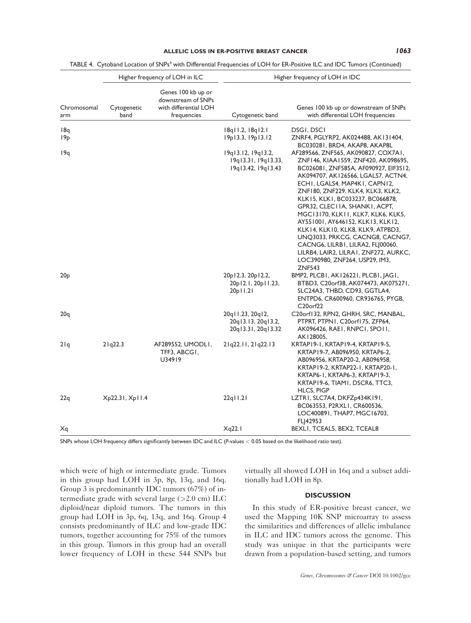|                    |                                           | Higher frequency of LOH in ILC                                                   |                                                                    | Higher frequency of LOH in IDC                                                                                                                                                                                                                                                                                                                                                                                                                                                                                                                                                                    |
|--------------------|-------------------------------------------|----------------------------------------------------------------------------------|--------------------------------------------------------------------|---------------------------------------------------------------------------------------------------------------------------------------------------------------------------------------------------------------------------------------------------------------------------------------------------------------------------------------------------------------------------------------------------------------------------------------------------------------------------------------------------------------------------------------------------------------------------------------------------|
| Chromosomal<br>arm | Cytogenetic<br>band                       | Genes 100 kb up or<br>downstream of SNPs<br>with differential LOH<br>frequencies | Cytogenetic band                                                   | Genes 100 kb up or downstream of SNPs<br>with differential LOH frequencies                                                                                                                                                                                                                                                                                                                                                                                                                                                                                                                        |
| 18q                |                                           |                                                                                  | 18q11.2, 18q12.1                                                   | DSGI, DSCI                                                                                                                                                                                                                                                                                                                                                                                                                                                                                                                                                                                        |
| 19 <sub>p</sub>    |                                           |                                                                                  | 19p13.3, 19p13.12                                                  | ZNRF4, PGLYRP2, AK024488, AK131404,<br>BC030281, BRD4, AKAP8, AKAP8L                                                                                                                                                                                                                                                                                                                                                                                                                                                                                                                              |
| 19q                |                                           |                                                                                  | 19q13.12, 19q13.2,<br>19q13.31, 19q13.33,<br>19q13.42, 19q13.43    | AF289566, ZNF565, AK090827, COX7A1,<br>ZNF146, KIAA1559, ZNF420, AK098695,<br>BC026081, ZNF585A, AF090927, EIF3S12,<br>AK094707, AK126566, LGALS7, ACTN4,<br>ECHI, LGALS4, MAP4KI, CAPNI2,<br>ZNF180, ZNF229, KLK4, KLK3, KLK2,<br>KLK I 5, KLK I , BC033237, BC066878,<br>GPR32, CLECI IA, SHANK I, ACPT,<br>MGC13170, KLK11, KLK7, KLK6, KLK5,<br>AY551001, AY646152, KLK13, KLK12,<br>KLK 14, KLK 10, KLK8, KLK9, ATPBD3,<br>UNQ3033, PRKCG, CACNG8, CACNG7,<br>CACNG6, LILRB1, LILRA2, FLJ00060,<br>LILRB4, LAIR2, LILRA I, ZNF272, AURKC,<br>LOC390980, ZNF264, USP29, IM3,<br><b>ZNF543</b> |
| 20 <sub>p</sub>    |                                           |                                                                                  | 20p12.3, 20p12.2,<br>20pl2.l, 20pll.23,<br>20p   1.2               | BMP2, PLCBI, AKI2622I, PLCBI, JAGI,<br>BTBD3, C20orf38, AK074473, AK075271,<br>SLC24A3, THBD, CD93, GGTLA4,<br>ENTPD6, CR600960, CR936765, PYGB,<br>C20orf22                                                                                                                                                                                                                                                                                                                                                                                                                                      |
| 20q                |                                           |                                                                                  | 20qll.23, 20ql2,<br>20q13.13, 20q13.2,<br>20q   3.3   , 20q   3.32 | C20orf132, RPN2, GHRH, SRC, MANBAL,<br>PTPRT, PTPN1, C20orf175, ZFP64,<br>AK096426, RAEI, RNPCI, SPOII,<br>AK128005,                                                                                                                                                                                                                                                                                                                                                                                                                                                                              |
| 21q                | 21q22.3                                   | AF289552, UMODLI,<br>TFF3, ABCG1,<br>U34919                                      | 21q22.11, 21q22.13                                                 | KRTAPI 9-1, KRTAPI 9-4, KRTAPI 9-5,<br>KRTAP19-7, AB096950, KRTAP6-2,<br>AB096956, KRTAP20-2, AB096958,<br>KRTAP19-2, KRTAP22-1, KRTAP20-1,<br>KRTAP6-1, KRTAP6-3, KRTAP19-3,<br>KRTAP19-6, TIAM1, DSCR6, TTC3,<br>HLCS, PIGP                                                                                                                                                                                                                                                                                                                                                                     |
| 22q                | X <sub>p</sub> 22.31, X <sub>p</sub> 11.4 |                                                                                  | 22q11.21                                                           | LZTRI, SLC7A4, DKFZp434K191,<br>BC063553, P2RXLI, CR600536,<br>LOC400891, THAP7, MGC16703,<br>FLJ42953                                                                                                                                                                                                                                                                                                                                                                                                                                                                                            |
| Xq                 |                                           |                                                                                  | Xq22.1                                                             | BEXLI, TCEAL5, BEX2, TCEAL8                                                                                                                                                                                                                                                                                                                                                                                                                                                                                                                                                                       |

| TABLE 4. Cytoband Location of SNPs <sup>a</sup> with Differential Frequencies of LOH for ER-Positive ILC and IDC Tumors (Continued) |
|-------------------------------------------------------------------------------------------------------------------------------------|
|-------------------------------------------------------------------------------------------------------------------------------------|

SNPs whose LOH frequency differs significantly between IDC and ILC (P-values < 0.05 based on the likelihood ratio test).

which were of high or intermediate grade. Tumors in this group had LOH in 3p, 8p, 13q, and 16q. Group 3 is predominantly IDC tumors (67%) of intermediate grade with several large  $(>2.0 \text{ cm})$  ILC diploid/near diploid tumors. The tumors in this group had LOH in 3p, 6q, 13q, and 16q. Group 4 consists predominantly of ILC and low-grade IDC tumors, together accounting for 75% of the tumors in this group. Tumors in this group had an overall lower frequency of LOH in these 544 SNPs but virtually all showed LOH in 16q and a subset additionally had LOH in 8p.

# **DISCUSSION**

In this study of ER-positive breast cancer, we used the Mapping 10K SNP microarray to assess the similarities and differences of allelic imbalance in ILC and IDC tumors across the genome. This study was unique in that the participants were drawn from a population-based setting, and tumors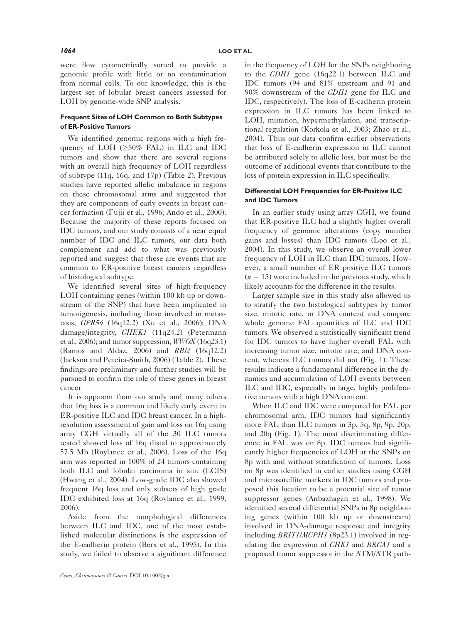were flow cytometrically sorted to provide a genomic profile with little or no contamination from normal cells. To our knowledge, this is the largest set of lobular breast cancers assessed for LOH by genome-wide SNP analysis.

#### Frequent Sites of LOH Common to Both Subtypes of ER-Positive Tumors

We identified genomic regions with a high frequency of LOH  $(\geq 50\% \text{ FAL})$  in ILC and IDC tumors and show that there are several regions with an overall high frequency of LOH regardless of subtype (11q, 16q, and 17p) (Table 2). Previous studies have reported allelic imbalance in regions on these chromosomal arms and suggested that they are components of early events in breast cancer formation (Fujii et al., 1996; Ando et al., 2000). Because the majority of these reports focused on IDC tumors, and our study consists of a near equal number of IDC and ILC tumors, our data both complement and add to what was previously reported and suggest that these are events that are common to ER-positive breast cancers regardless of histological subtype.

We identified several sites of high-frequency LOH containing genes (within 100 kb up or downstream of the SNP) that have been implicated in tumorigenesis, including those involved in metastasis, GPR56 (16q12.2) (Xu et al., 2006); DNA damage/integrity, CHEK1 (11q24.2) (Petermann et al., 2006); and tumor suppression, WWOX (16q23.1) (Ramos and Aldaz, 2006) and RBl2 (16q12.2) (Jackson and Pereira-Smith, 2006) (Table 2). These findings are preliminary and further studies will be pursued to confirm the role of these genes in breast cancer

It is apparent from our study and many others that 16q loss is a common and likely early event in ER-positive ILC and IDC breast cancer. In a highresolution assessment of gain and loss on 16q using array CGH virtually all of the 30 ILC tumors tested showed loss of 16q distal to approximately 57.5 Mb (Roylance et al., 2006). Loss of the 16q arm was reported in 100% of 24 tumors containing both ILC and lobular carcinoma in situ (LCIS) (Hwang et al., 2004). Low-grade IDC also showed frequent 16q loss and only subsets of high grade IDC exhibited loss at 16q (Roylance et al., 1999, 2006).

Aside from the morphological differences between ILC and IDC, one of the most established molecular distinctions is the expression of the E-cadherin protein (Berx et al., 1995). In this study, we failed to observe a significant difference in the frequency of LOH for the SNPs neighboring to the CDH1 gene (16q22.1) between ILC and IDC tumors (94 and 81% upstream and 91 and 90% downstream of the CDH1 gene for ILC and IDC, respectively). The loss of E-cadherin protein expression in ILC tumors has been linked to LOH, mutation, hypermethylation, and transcriptional regulation (Korkola et al., 2003; Zhao et al., 2004). Thus our data confirm earlier observations that loss of E-cadherin expression in ILC cannot be attributed solely to allelic loss, but must be the outcome of additional events that contribute to the loss of protein expression in ILC specifically.

# Differential LOH Frequencies for ER-Positive ILC and IDC Tumors

In an earlier study using array CGH, we found that ER-positive ILC had a slightly higher overall frequency of genomic alterations (copy number gains and losses) than IDC tumors (Loo et al., 2004). In this study, we observe an overall lower frequency of LOH in ILC than IDC tumors. However, a small number of ER positive ILC tumors  $(n = 15)$  were included in the previous study, which likely accounts for the difference in the results.

Larger sample size in this study also allowed us to stratify the two histological subtypes by tumor size, mitotic rate, or DNA content and compare whole genome FAL quantities of ILC and IDC tumors. We observed a statistically significant trend for IDC tumors to have higher overall FAL with increasing tumor size, mitotic rate, and DNA content, whereas ILC tumors did not (Fig. 1). These results indicate a fundamental difference in the dynamics and accumulation of LOH events between ILC and IDC, especially in large, highly proliferative tumors with a high DNA content.

When ILC and IDC were compared for FAL per chromosomal arm, IDC tumors had significantly more FAL than ILC tumors in 3p, 5q, 8p, 9p, 20p, and 20q (Fig. 1). The most discriminating difference in FAL was on 8p. IDC tumors had significantly higher frequencies of LOH at the SNPs on 8p with and without stratification of tumors. Loss on 8p was identified in earlier studies using CGH and microsatellite markers in IDC tumors and proposed this location to be a potential site of tumor suppressor genes (Anbazhagan et al., 1998). We identified several differential SNPs in 8p neighboring genes (within 100 kb up or downstream) involved in DNA-damage response and integrity including BRIT1/MCPH1 (8p23.1) involved in regulating the expression of CHK1 and BRCA1 and a proposed tumor suppressor in the ATM/ATR path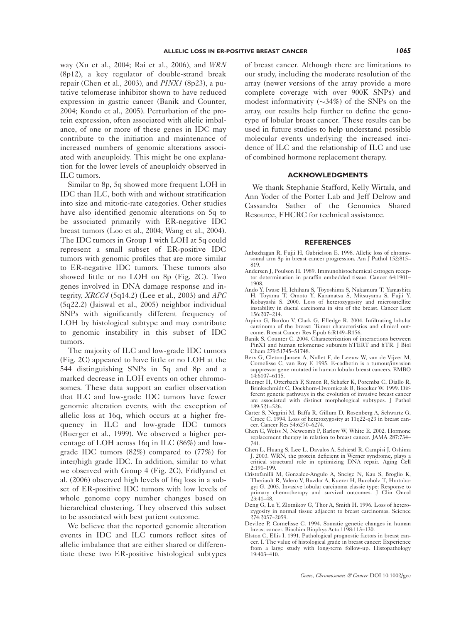way (Xu et al., 2004; Rai et al., 2006), and WRN (8p12), a key regulator of double-strand break repair (Chen et al., 2003), and PINX1 (8p23), a putative telomerase inhibitor shown to have reduced expression in gastric cancer (Banik and Counter, 2004; Kondo et al., 2005). Perturbation of the protein expression, often associated with allelic imbalance, of one or more of these genes in IDC may contribute to the initiation and maintenance of increased numbers of genomic alterations associated with aneuploidy. This might be one explanation for the lower levels of aneuploidy observed in ILC tumors.

Similar to 8p, 5q showed more frequent LOH in IDC than ILC, both with and without stratification into size and mitotic-rate categories. Other studies have also identified genomic alterations on 5q to be associated primarily with ER-negative IDC breast tumors (Loo et al., 2004; Wang et al., 2004). The IDC tumors in Group 1 with LOH at 5q could represent a small subset of ER-positive IDC tumors with genomic profiles that are more similar to ER-negative IDC tumors. These tumors also showed little or no LOH on 8p (Fig. 2C). Two genes involved in DNA damage response and integrity,  $XRCC4$  (5q14.2) (Lee et al., 2003) and  $APC$ (5q22.2) (Jaiswal et al., 2005) neighbor individual SNPs with significantly different frequency of LOH by histological subtype and may contribute to genomic instability in this subset of IDC tumors.

The majority of ILC and low-grade IDC tumors (Fig. 2C) appeared to have little or no LOH at the 544 distinguishing SNPs in 5q and 8p and a marked decrease in LOH events on other chromosomes. These data support an earlier observation that ILC and low-grade IDC tumors have fewer genomic alteration events, with the exception of allelic loss at 16q, which occurs at a higher frequency in ILC and low-grade IDC tumors (Buerger et al., 1999). We observed a higher percentage of LOH across 16q in ILC (86%) and lowgrade IDC tumors (82%) compared to (77%) for inter/high grade IDC. In addition, similar to what we observed with Group 4 (Fig. 2C), Fridlyand et al. (2006) observed high levels of 16q loss in a subset of ER-positive IDC tumors with low levels of whole genome copy number changes based on hierarchical clustering. They observed this subset to be associated with best patient outcome.

We believe that the reported genomic alteration events in IDC and ILC tumors reflect sites of allelic imbalance that are either shared or differentiate these two ER-positive histological subtypes

of breast cancer. Although there are limitations to our study, including the moderate resolution of the array (newer versions of the array provide a more complete coverage with over 900K SNPs) and modest informativity  $(\sim 34\%)$  of the SNPs on the array, our results help further to define the genotype of lobular breast cancer. These results can be used in future studies to help understand possible molecular events underlying the increased incidence of ILC and the relationship of ILC and use of combined hormone replacement therapy.

#### ACKNOWLEDGMENTS

We thank Stephanie Stafford, Kelly Wirtala, and Ann Yoder of the Porter Lab and Jeff Delrow and Cassandra Sather of the Genomics Shared Resource, FHCRC for technical assistance.

#### REFERENCES

- Anbazhagan R, Fujii H, Gabrielson E. 1998. Allelic loss of chromosomal arm 8p in breast cancer progression. Am J Pathol 152:815– 819.
- Andersen J, Poulson H. 1989. Immunohistochemical estrogen receptor determination in paraffin embedded tissue. Cancer 64:1901– 1908.
- Ando Y, Iwase H, Ichihara S, Toyoshima S, Nakamura T, Yamashita H, Toyama T, Omoto Y, Karamatsu S, Mitsuyama S, Fujii Y, Kobayashi S. 2000. Loss of heterozygosity and microsatellite instability in ductal carcinoma in situ of the breast. Cancer Lett 156:207–214.
- Arpino G, Bardou V, Clark G, Elledge R. 2004. Infiltrating lobular carcinoma of the breast: Tumor characteristics and clinical outcome. Breast Cancer Res Epub 6:R149–R156.
- Banik S, Counter C. 2004. Characterization of interactions between PinX1 and human telomerase subunits hTERT and hTR. J Biol Chem 279:51745–51748.
- Berx G, Cleton-Jansen A, Nollet F, de Leeuw W, van de Vijver M, Cornelisse C, van Roy F. 1995. E-cadherin is a tumour/invasion suppressor gene mutated in human lobular breast cancers. EMBO 14:6107–6115.
- Buerger H, Otterbach F, Simon R, Schafer K, Poremba C, Diallo R, Brinkschmidt C, Dockhorn-Dworniczak B, Boecker W. 1999. Different genetic pathways in the evolution of invasive breast cancer are associated with distinct morphological subtypes. J Pathol 189:521–526.
- Carter S, Negrini M, Baffa R, Gillum D, Rosenberg A, Schwartz G, Croce C. 1994. Loss of heterozygosity at 11q22-q23 in breast cancer. Cancer Res 54:6270–6274.
- Chen C, Weiss N, Newcomb P, Barlow W, White E. 2002. Hormone replacement therapy in relation to breast cancer. JAMA 287:734– 741.
- Chen L, Huang S, Lee L, Davalos A, Schiestl R, Campisi J, Oshima J. 2003. WRN, the protein deficient in Werner syndrome, plays a critical structural role in optimizing DNA repair. Aging Cell 2:191–199.
- Cristofanilli M, Gonzalez-Angulo A, Sneige N, Kau S, Broglio K, Theriault R, Valero V, Buzdar A, Kuerer H, Buccholz T, Hortobagyi G. 2005. Invasive lobular carcinoma classic type: Response to primary chemotherapy and survival outcomes. J Clin Oncol  $23:41-48$ .
- Deng G, Lu Y, Zlotnikov G, Thor A, Smith H. 1996. Loss of heterozygosity in normal tissue adjacent to breast carcinomas. Science 274:2057–2059.
- Devilee P, Cornelisse C. 1994. Somatic genetic changes in human breast cancer. Biochim Biophys Acta 1198:113–130.
- Elston C, Ellis I. 1991. Pathological prognostic factors in breast cancer. I. The value of histological grade in breast cancer: Experience from a large study with long-term follow-up. Histopathology 19:403–410.